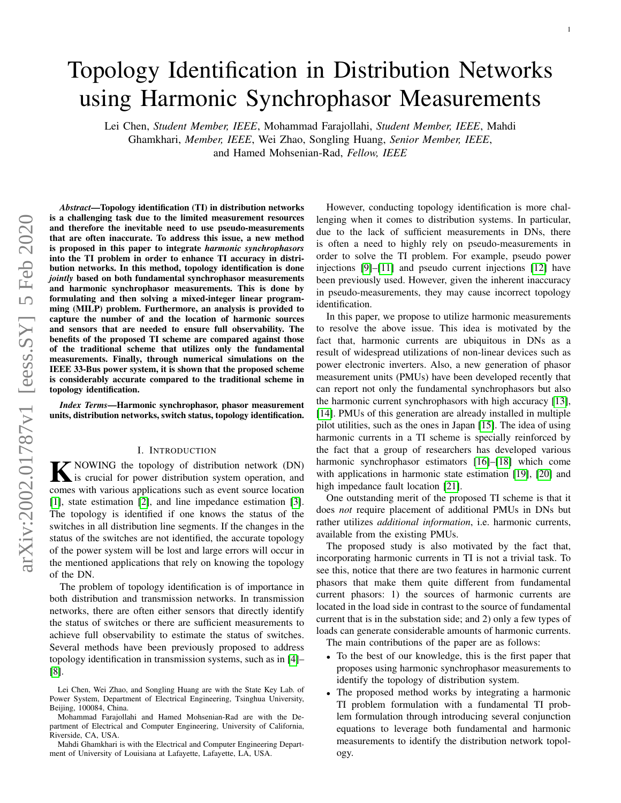# Topology Identification in Distribution Networks using Harmonic Synchrophasor Measurements

Lei Chen, *Student Member, IEEE*, Mohammad Farajollahi, *Student Member, IEEE*, Mahdi Ghamkhari, *Member, IEEE*, Wei Zhao, Songling Huang, *Senior Member, IEEE*, and Hamed Mohsenian-Rad, *Fellow, IEEE*

*Abstract*—Topology identification (TI) in distribution networks is a challenging task due to the limited measurement resources and therefore the inevitable need to use pseudo-measurements that are often inaccurate. To address this issue, a new method is proposed in this paper to integrate *harmonic synchrophasors* into the TI problem in order to enhance TI accuracy in distribution networks. In this method, topology identification is done *jointly* based on both fundamental synchrophasor measurements and harmonic synchrophasor measurements. This is done by formulating and then solving a mixed-integer linear programming (MILP) problem. Furthermore, an analysis is provided to capture the number of and the location of harmonic sources and sensors that are needed to ensure full observability. The benefits of the proposed TI scheme are compared against those of the traditional scheme that utilizes only the fundamental measurements. Finally, through numerical simulations on the IEEE 33-Bus power system, it is shown that the proposed scheme is considerably accurate compared to the traditional scheme in topology identification.

*Index Terms*—Harmonic synchrophasor, phasor measurement units, distribution networks, switch status, topology identification.

#### I. INTRODUCTION

<span id="page-0-0"></span>**K** NOWING the topology of distribution network (DN)<br>is crucial for power distribution system operation, and is crucial for power distribution system operation, and comes with various applications such as event source location [\[1\]](#page-7-0), state estimation [\[2\]](#page-7-1), and line impedance estimation [\[3\]](#page-7-2). The topology is identified if one knows the status of the switches in all distribution line segments. If the changes in the status of the switches are not identified, the accurate topology of the power system will be lost and large errors will occur in the mentioned applications that rely on knowing the topology of the DN.

The problem of topology identification is of importance in both distribution and transmission networks. In transmission networks, there are often either sensors that directly identify the status of switches or there are sufficient measurements to achieve full observability to estimate the status of switches. Several methods have been previously proposed to address topology identification in transmission systems, such as in [\[4\]](#page-7-3)– [\[8\]](#page-7-4).

Mahdi Ghamkhari is with the Electrical and Computer Engineering Department of University of Louisiana at Lafayette, Lafayette, LA, USA.

However, conducting topology identification is more challenging when it comes to distribution systems. In particular, due to the lack of sufficient measurements in DNs, there is often a need to highly rely on pseudo-measurements in order to solve the TI problem. For example, pseudo power injections [\[9\]](#page-7-5)–[\[11\]](#page-7-6) and pseudo current injections [\[12\]](#page-7-7) have been previously used. However, given the inherent inaccuracy in pseudo-measurements, they may cause incorrect topology identification.

In this paper, we propose to utilize harmonic measurements to resolve the above issue. This idea is motivated by the fact that, harmonic currents are ubiquitous in DNs as a result of widespread utilizations of non-linear devices such as power electronic inverters. Also, a new generation of phasor measurement units (PMUs) have been developed recently that can report not only the fundamental synchrophasors but also the harmonic current synchrophasors with high accuracy [\[13\]](#page-7-8), [\[14\]](#page-7-9). PMUs of this generation are already installed in multiple pilot utilities, such as the ones in Japan [\[15\]](#page-7-10). The idea of using harmonic currents in a TI scheme is specially reinforced by the fact that a group of researchers has developed various harmonic synchrophasor estimators [\[16\]](#page-7-11)–[\[18\]](#page-7-12) which come with applications in harmonic state estimation [\[19\]](#page-7-13), [\[20\]](#page-7-14) and high impedance fault location [\[21\]](#page-7-15).

One outstanding merit of the proposed TI scheme is that it does *not* require placement of additional PMUs in DNs but rather utilizes *additional information*, i.e. harmonic currents, available from the existing PMUs.

The proposed study is also motivated by the fact that, incorporating harmonic currents in TI is not a trivial task. To see this, notice that there are two features in harmonic current phasors that make them quite different from fundamental current phasors: 1) the sources of harmonic currents are located in the load side in contrast to the source of fundamental current that is in the substation side; and 2) only a few types of loads can generate considerable amounts of harmonic currents.

The main contributions of the paper are as follows:

- To the best of our knowledge, this is the first paper that proposes using harmonic synchrophasor measurements to identify the topology of distribution system.
- The proposed method works by integrating a harmonic TI problem formulation with a fundamental TI problem formulation through introducing several conjunction equations to leverage both fundamental and harmonic measurements to identify the distribution network topology.

Lei Chen, Wei Zhao, and Songling Huang are with the State Key Lab. of Power System, Department of Electrical Engineering, Tsinghua University, Beijing, 100084, China.

Mohammad Farajollahi and Hamed Mohsenian-Rad are with the Department of Electrical and Computer Engineering, University of California, Riverside, CA, USA.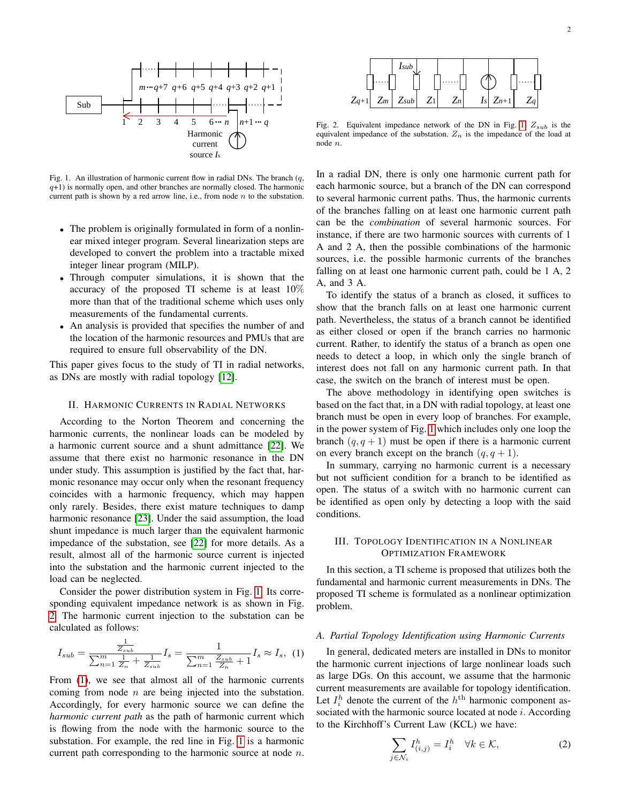

<span id="page-1-0"></span>Fig. 1. An illustration of harmonic current flow in radial DNs. The branch  $(q,$  $q+1$ ) is normally open, and other branches are normally closed. The harmonic current path is shown by a red arrow line, i.e., from node n to the substation.

- The problem is originally formulated in form of a nonlinear mixed integer program. Several linearization steps are developed to convert the problem into a tractable mixed integer linear program (MILP).
- more than that of the traditional seneme which as<br>measurements of the fundamental currents. • Through computer simulations, it is shown that the accuracy of the proposed TI scheme is at least  $10\%$ more than that of the traditional scheme which uses only
- *I*s, *I*s, *I*s, *I*s, *I*s, *I*s, *I*s, *I*s, *I*s, *I*s, *Is*, *Is*, *Is*, *Is*, *Is*, *Is*, *Is*, *Is*, *Is*, *Is*, *Is*, *Is*, *Is*, *Is*, *Is*, *Is*, *Is*, *Is*, *Is*, *Is*, *Is*, *Is*, *Is*, *Is*, *Is*, *Is*, *Is*, • An analysis is provided that specifies the number of and the location of the harmonic resources and PMUs that are

*I*s,q+1 *I*s,q *I*s,m+3 *I*s,m+2 *I*s,m+1*I*s,m *I*s,n+4 *I*s,n+3 This paper gives focus to the study of TI in radial networks, as DNs are mostly with radial topology [\[12\]](#page-7-7).

# <span id="page-1-3"></span>II. HARMONIC CURRENTS IN RADIAL NETWORKS

monic resonance may occur only when the resonant frequency<br>esimethes with a homonic frequency, which may homon a *mannome* current source and a snunt admittance  $[22]$ . We assume that there exist no harmonic resonance in the DN under study. This assumption is justified by the fact that, har-*I*s, *I*<sup>S</sup>, *I*<sup>S</sup>, *I*<sup>S</sup>, *I*<sup>S</sup>, *I*<sup>S</sup>, *I*<sup>S</sup>, *I*<sup>S</sup>, *I*<sup>S</sup>, *I*<sup>S</sup>, *I*<sup>S</sup>, *I*<sup>S</sup>, *I*<sup>S</sup>, *I*<sup>S</sup>, *I*<sup>S</sup>, *I*<sup>S</sup>, *I*<sup>S</sup>, *I*<sup>S</sup>, *I*<sup>S</sup>, *I*<sup>S</sup>, *I*<sup>S</sup>, *I*<sup>S</sup>, *I*<sup>S</sup>, *I*<sup>S</sup>, *I*<sup>S</sup>, *I*<sup>S</sup>, *I*<sup>S</sup>, *I*<sup>S</sup>, result, almost all of the harmonic source current is injected According to the Norton Theorem and concerning the harmonic currents, the nonlinear loads can be modeled by a harmonic current source and a shunt admittance [\[22\]](#page-7-16). We coincides with a harmonic frequency, which may happen only rarely. Besides, there exist mature techniques to damp harmonic resonance [\[23\]](#page-7-17). Under the said assumption, the load impedance of the substation, see [\[22\]](#page-7-16) for more details. As a into the substation and the harmonic current injected to the load can be neglected.

sponding equivalent impedance network is as shown in Fig. Consider the power distribution system in Fig. [1.](#page-1-0) Its corre-[2.](#page-1-1) The harmonic current injection to the substation can be calculated as follows:

<span id="page-1-2"></span>
$$
I_{sub} = \frac{\frac{1}{Z_{sub}}}{\sum_{n=1}^{m} \frac{1}{Z_n} + \frac{1}{Z_{sub}}} I_s = \frac{1}{\sum_{n=1}^{m} \frac{Z_{sub}}{Z_n} + 1} I_s \approx I_s, (1)
$$

1 2 3 4 5 6**...** *n n*+1 *n*+2 is flowing from the node with the harmonic source to the From [\(1\)](#page-1-2), we see that almost all of the harmonic currents substation. For example, the red line in Fig. [1](#page-1-0) is a harmonic coming from node  $n$  are being injected into the substation. Accordingly, for every harmonic source we can define the *harmonic current path* as the path of harmonic current which current path corresponding to the harmonic source at node  $n$ .



<span id="page-1-1"></span>Fig. 2. Equivalent impedance network of the DN in Fig. [1.](#page-1-0)  $Z_{sub}$  is the equivalent impedance of the substation.  $Z_n$  is the impedance of the load at node n.

In a radial DN, there is only one harmonic current path for each harmonic source, but a branch of the DN can correspond to several harmonic current paths. Thus, the harmonic currents of the branches falling on at least one harmonic current path can be the *combination* of several harmonic sources. For instance, if there are two harmonic sources with currents of 1 A and 2 A, then the possible combinations of the harmonic sources, i.e. the possible harmonic currents of the branches falling on at least one harmonic current path, could be 1 A, 2 A, and 3 A.

To identify the status of a branch as closed, it suffices to show that the branch falls on at least one harmonic current path. Nevertheless, the status of a branch cannot be identified as either closed or open if the branch carries no harmonic current. Rather, to identify the status of a branch as open one needs to detect a loop, in which only the single branch of interest does not fall on any harmonic current path. In that case, the switch on the branch of interest must be open.

The above methodology in identifying open switches is based on the fact that, in a DN with radial topology, at least one branch must be open in every loop of branches. For example, in the power system of Fig. [1](#page-1-0) which includes only one loop the branch  $(q, q + 1)$  must be open if there is a harmonic current on every branch except on the branch  $(q, q + 1)$ .

In summary, carrying no harmonic current is a necessary but not sufficient condition for a branch to be identified as open. The status of a switch with no harmonic current can be identified as open only by detecting a loop with the said conditions.

# III. TOPOLOGY IDENTIFICATION IN A NONLINEAR OPTIMIZATION FRAMEWORK

In this section, a TI scheme is proposed that utilizes both the fundamental and harmonic current measurements in DNs. The proposed TI scheme is formulated as a nonlinear optimization problem.

#### <span id="page-1-5"></span>*A. Partial Topology Identification using Harmonic Currents*

In general, dedicated meters are installed in DNs to monitor the harmonic current injections of large nonlinear loads such as large DGs. On this account, we assume that the harmonic current measurements are available for topology identification. Let  $I_i^h$  denote the current of the  $h^{\text{th}}$  harmonic component associated with the harmonic source located at node  $i$ . According to the Kirchhoff's Current Law (KCL) we have:

<span id="page-1-4"></span>
$$
\sum_{j \in \mathcal{N}_i} I^h_{(i,j)} = I^h_i \quad \forall k \in \mathcal{K},\tag{2}
$$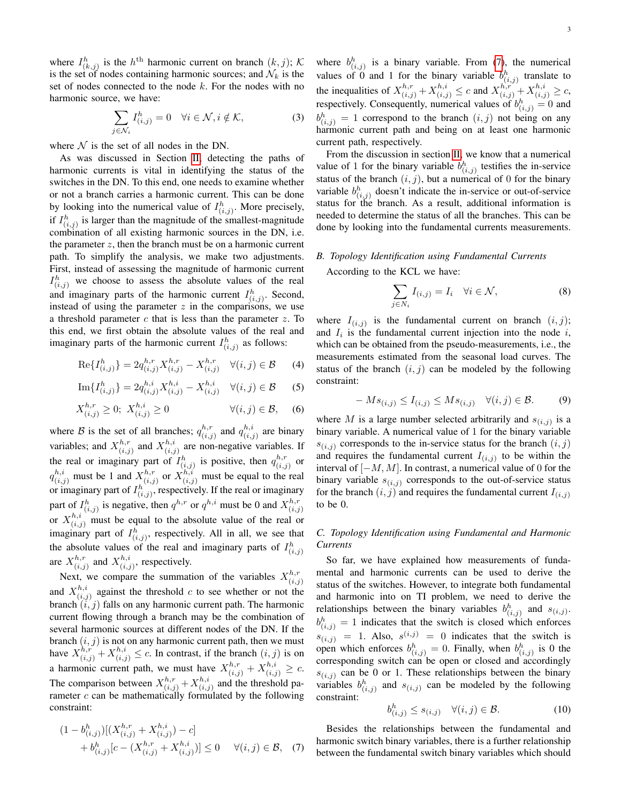where  $I_{(k,j)}^h$  is the  $h^{\text{th}}$  harmonic current on branch  $(k,j)$ ; K is the set of nodes containing harmonic sources; and  $\mathcal{N}_k$  is the set of nodes connected to the node  $k$ . For the nodes with no harmonic source, we have:

<span id="page-2-3"></span>
$$
\sum_{j \in \mathcal{N}_i} I_{(i,j)}^h = 0 \quad \forall i \in \mathcal{N}, i \notin \mathcal{K},
$$
 (3)

where  $N$  is the set of all nodes in the DN.

As was discussed in Section [II,](#page-1-3) detecting the paths of harmonic currents is vital in identifying the status of the switches in the DN. To this end, one needs to examine whether or not a branch carries a harmonic current. This can be done by looking into the numerical value of  $I_{(i,j)}^h$ . More precisely, if  $I_{(i,j)}^h$  is larger than the magnitude of the smallest-magnitude combination of all existing harmonic sources in the DN, i.e. the parameter  $z$ , then the branch must be on a harmonic current path. To simplify the analysis, we make two adjustments. First, instead of assessing the magnitude of harmonic current  $I^h_{(i,j)}$  we choose to assess the absolute values of the real and imaginary parts of the harmonic current  $I_{(i,j)}^h$ . Second, instead of using the parameter  $z$  in the comparisons, we use a threshold parameter  $c$  that is less than the parameter  $z$ . To this end, we first obtain the absolute values of the real and imaginary parts of the harmonic current  $I_{(i,j)}^h$  as follows:

<span id="page-2-1"></span>
$$
\text{Re}\{I_{(i,j)}^h\} = 2q_{(i,j)}^{h,r}X_{(i,j)}^{h,r} - X_{(i,j)}^{h,r} \quad \forall (i,j) \in \mathcal{B}
$$
 (4)

<span id="page-2-2"></span>Im
$$
\{I_{(i,j)}^h\}
$$
 =  $2q_{(i,j)}^{h,i}X_{(i,j)}^{h,i} - X_{(i,j)}^{h,i} \quad \forall (i,j) \in \mathcal{B}$  (5)

$$
X_{(i,j)}^{h,r} \ge 0; \ X_{(i,j)}^{h,i} \ge 0 \qquad \forall (i,j) \in \mathcal{B}, \quad (6)
$$

where B is the set of all branches;  $q_{ij}^{h,r}$  $\binom{h,r}{(i,j)}$  and  $q_{(i,j)}^{h,i}$  $\binom{n, i}{(i, j)}$  are binary variables; and  $X_{(i,j)}^{h,r}$  $\chi_{(i,j)}^{h,r}$  and  $X_{(i,j)}^{h,i}$  $\binom{n,i}{(i,j)}$  are non-negative variables. If the real or imaginary part of  $I_{(i,j)}^h$  is positive, then  $q_{(i,j)}^{h,r}$  $\frac{n,r}{(i,j)}$  or  $q_{(i,j)}^{h,i}$  must be 1 and  $X_{(i,j)}^{h,r}$  $\sum_{(i,j)}^{h,r}$  or  $X_{(i,j)}^{h,i}$  must be equal to the real or imaginary part of  $I^h_{(i,j)}$ , respectively. If the real or imaginary part of  $I_{(i,j)}^h$  is negative, then  $q^{h,r}$  or  $q^{h,i}$  must be 0 and  $X_{(i,j)}^{h,r}$  $(i,j)$ or  $X_{(i,j)}^{h,i}$  must be equal to the absolute value of the real or imaginary part of  $I_{(i,j)}^h$ , respectively. All in all, we see that the absolute values of the real and imaginary parts of  $I^h_{(i,j)}$ are  $X^{h,r}_{(i,j)}$  $\chi_{(i,j)}^{h,r}$  and  $X_{(i,j)}^{h,i}$  $\binom{n, i}{(i, j)}$ , respectively.

Next, we compare the summation of the variables  $X_{i,j}^{h,r}$  $(i,j)$ and  $X_{(i)}^{h,i}$  $\binom{n,i}{i,j}$  against the threshold c to see whether or not the branch  $(i, j)$  falls on any harmonic current path. The harmonic current flowing through a branch may be the combination of several harmonic sources at different nodes of the DN. If the branch  $(i, j)$  is not on any harmonic current path, then we must have  $X_{(i,j)}^{h,r} + X_{(i,j)}^{h,i} \le c$ . In contrast, if the branch  $(i, j)$  is on a harmonic current path, we must have  $X_{(i,j)}^{h,r} + X_{(i,j)}^{h,i} \ge c$ . The comparison between  $X_{(i,j)}^{h,r} + X_{(i,j)}^{h,i}$  $\binom{n, i}{i, j}$  and the threshold parameter  $c$  can be mathematically formulated by the following constraint:

$$
(1 - b^{h}_{(i,j)})[(X^{h,r}_{(i,j)} + X^{h,i}_{(i,j)}) - c] + b^{h}_{(i,j)}[c - (X^{h,r}_{(i,j)} + X^{h,i}_{(i,j)})] \leq 0 \quad \forall (i,j) \in \mathcal{B}, \quad (7)
$$

where  $b_{(i,j)}^h$  is a binary variable. From [\(7\)](#page-2-0), the numerical values of 0 and 1 for the binary variable  $b_{(i,j)}^h$  translate to the inequalities of  $X_{(i,j)}^{h,r} + X_{(i,j)}^{h,i} \le c$  and  $X_{(i,j)}^{h,r} + X_{(i,j)}^{h,i} \ge c$ , respectively. Consequently, numerical values of  $b_{(i,j)}^h = 0$  and  $b_{(i,j)}^h = 1$  correspond to the branch  $(i, j)$  not being on any harmonic current path and being on at least one harmonic current path, respectively.

From the discussion in section [II,](#page-1-3) we know that a numerical value of 1 for the binary variable  $b_{(i,j)}^h$  testifies the in-service status of the branch  $(i, j)$ , but a numerical of 0 for the binary variable  $b_{(i,j)}^h$  doesn't indicate the in-service or out-of-service status for the branch. As a result, additional information is needed to determine the status of all the branches. This can be done by looking into the fundamental currents measurements.

# *B. Topology Identification using Fundamental Currents*

According to the KCL we have:

<span id="page-2-4"></span>
$$
\sum_{j \in N_i} I_{(i,j)} = I_i \quad \forall i \in \mathcal{N},\tag{8}
$$

where  $I_{(i,j)}$  is the fundamental current on branch  $(i,j)$ ; and  $I_i$  is the fundamental current injection into the node  $i$ , which can be obtained from the pseudo-measurements, i.e., the measurements estimated from the seasonal load curves. The status of the branch  $(i, j)$  can be modeled by the following constraint:

<span id="page-2-6"></span>
$$
-Ms_{(i,j)} \le I_{(i,j)} \le Ms_{(i,j)} \quad \forall (i,j) \in \mathcal{B}.\tag{9}
$$

where M is a large number selected arbitrarily and  $s_{(i,j)}$  is a binary variable. A numerical value of 1 for the binary variable  $s_{(i,j)}$  corresponds to the in-service status for the branch  $(i,j)$ and requires the fundamental current  $I_{(i,j)}$  to be within the interval of  $[-M, M]$ . In contrast, a numerical value of 0 for the binary variable  $s_{(i,j)}$  corresponds to the out-of-service status for the branch  $(i, j)$  and requires the fundamental current  $I_{(i,j)}$ to be 0.

# *C. Topology Identification using Fundamental and Harmonic Currents*

So far, we have explained how measurements of fundamental and harmonic currents can be used to derive the status of the switches. However, to integrate both fundamental and harmonic into on TI problem, we need to derive the relationships between the binary variables  $b_{(i,j)}^h$  and  $s_{(i,j)}$ .  $b_{(i,j)}^h = 1$  indicates that the switch is closed which enforces  $s_{(i,j)} = 1$ . Also,  $s^{(i,j)} = 0$  indicates that the switch is open which enforces  $b_{(i,j)}^h = 0$ . Finally, when  $b_{(i,j)}^h$  is 0 the corresponding switch can be open or closed and accordingly  $s(i,j)$  can be 0 or 1. These relationships between the binary variables  $b_{(i,j)}^h$  and  $s_{(i,j)}$  can be modeled by the following constraint:

<span id="page-2-5"></span>
$$
b_{(i,j)}^h \le s_{(i,j)} \quad \forall (i,j) \in \mathcal{B}.\tag{10}
$$

<span id="page-2-0"></span>Besides the relationships between the fundamental and harmonic switch binary variables, there is a further relationship between the fundamental switch binary variables which should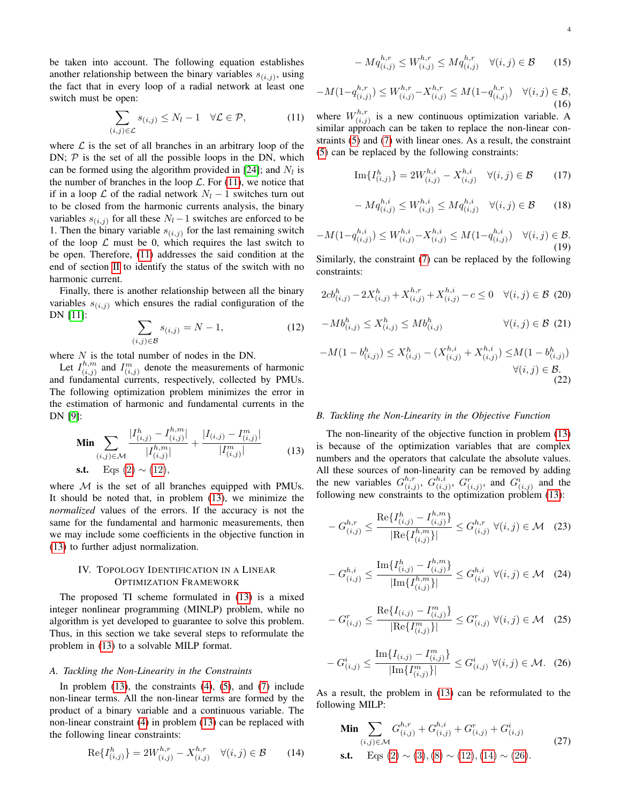be taken into account. The following equation establishes another relationship between the binary variables  $s_{(i,j)}$ , using the fact that in every loop of a radial network at least one switch must be open:

<span id="page-3-0"></span>
$$
\sum_{(i,j)\in\mathcal{L}} s_{(i,j)} \le N_l - 1 \quad \forall \mathcal{L} \in \mathcal{P},\tag{11}
$$

where  $\mathcal L$  is the set of all branches in an arbitrary loop of the DN;  $P$  is the set of all the possible loops in the DN, which can be formed using the algorithm provided in [\[24\]](#page-7-18); and  $N_l$  is the number of branches in the loop  $\mathcal{L}$ . For [\(11\)](#page-3-0), we notice that if in a loop  $\mathcal L$  of the radial network  $N_l - 1$  switches turn out to be closed from the harmonic currents analysis, the binary variables  $s_{(i,j)}$  for all these  $N_l - 1$  switches are enforced to be 1. Then the binary variable  $s_{(i,j)}$  for the last remaining switch of the loop  $\mathcal L$  must be 0, which requires the last switch to be open. Therefore, [\(11\)](#page-3-0) addresses the said condition at the end of section [II](#page-1-3) to identify the status of the switch with no harmonic current.

Finally, there is another relationship between all the binary variables  $s_{(i,j)}$  which ensures the radial configuration of the DN [\[11\]](#page-7-6):

<span id="page-3-1"></span>
$$
\sum_{(i,j)\in\mathcal{B}} s_{(i,j)} = N - 1,\tag{12}
$$

where  $N$  is the total number of nodes in the DN.

Let  $I_{(i,i)}^{h,m}$  $\binom{h,m}{(i,j)}$  and  $I^m_{(i,j)}$  denote the measurements of harmonic and fundamental currents, respectively, collected by PMUs. The following optimization problem minimizes the error in the estimation of harmonic and fundamental currents in the DN [\[9\]](#page-7-5):

<span id="page-3-2"></span>
$$
\begin{aligned}\n\mathbf{Min} \sum_{(i,j)\in\mathcal{M}} \frac{|I_{(i,j)}^h - I_{(i,j)}^{h,m}|}{|I_{(i,j)}^{h,m}|} + \frac{|I_{(i,j)} - I_{(i,j)}^m|}{|I_{(i,j)}^m|} \\
\mathbf{s.t.} \quad \text{Eqs (2)} \sim (12),\n\end{aligned} \tag{13}
$$

where  $M$  is the set of all branches equipped with PMUs. It should be noted that, in problem [\(13\)](#page-3-2), we minimize the *normalized* values of the errors. If the accuracy is not the same for the fundamental and harmonic measurements, then we may include some coefficients in the objective function in [\(13\)](#page-3-2) to further adjust normalization.

# IV. TOPOLOGY IDENTIFICATION IN A LINEAR OPTIMIZATION FRAMEWORK

The proposed TI scheme formulated in [\(13\)](#page-3-2) is a mixed integer nonlinear programming (MINLP) problem, while no algorithm is yet developed to guarantee to solve this problem. Thus, in this section we take several steps to reformulate the problem in [\(13\)](#page-3-2) to a solvable MILP format.

#### *A. Tackling the Non-Linearity in the Constraints*

In problem  $(13)$ , the constraints  $(4)$ ,  $(5)$ , and  $(7)$  include non-linear terms. All the non-linear terms are formed by the product of a binary variable and a continuous variable. The non-linear constraint [\(4\)](#page-2-1) in problem [\(13\)](#page-3-2) can be replaced with the following linear constraints:

<span id="page-3-3"></span>
$$
\text{Re}\{I_{(i,j)}^h\} = 2W_{(i,j)}^{h,r} - X_{(i,j)}^{h,r} \quad \forall (i,j) \in \mathcal{B}
$$
 (14)

$$
-M q_{(i,j)}^{h,r} \le W_{(i,j)}^{h,r} \le M q_{(i,j)}^{h,r} \quad \forall (i,j) \in \mathcal{B}
$$
 (15)

$$
-M(1-q_{(i,j)}^{h,r}) \le W_{(i,j)}^{h,r} - X_{(i,j)}^{h,r} \le M(1-q_{(i,j)}^{h,r}) \quad \forall (i,j) \in \mathcal{B},
$$
\n(16)

where  $W_{(i,i)}^{h,r}$  $\begin{bmatrix} n,r \\ (i,j) \end{bmatrix}$  is a new continuous optimization variable. A similar approach can be taken to replace the non-linear constraints [\(5\)](#page-2-2) and [\(7\)](#page-2-0) with linear ones. As a result, the constraint [\(5\)](#page-2-2) can be replaced by the following constraints:

Im
$$
\{I_{(i,j)}^h\}
$$
 =  $2W_{(i,j)}^{h,i} - X_{(i,j)}^{h,i}$   $\forall (i,j) \in \mathcal{B}$  (17)

$$
-M q_{(i,j)}^{h,i} \le W_{(i,j)}^{h,i} \le M q_{(i,j)}^{h,i} \quad \forall (i,j) \in \mathcal{B}
$$
 (18)

$$
-M(1-q_{(i,j)}^{h,i}) \le W_{(i,j)}^{h,i} - X_{(i,j)}^{h,i} \le M(1-q_{(i,j)}^{h,i}) \quad \forall (i,j) \in \mathcal{B}.\tag{19}
$$

Similarly, the constraint [\(7\)](#page-2-0) can be replaced by the following constraints:

$$
2cb_{(i,j)}^h - 2X_{(i,j)}^h + X_{(i,j)}^{h,r} + X_{(i,j)}^{h,i} - c \le 0 \quad \forall (i,j) \in \mathcal{B} \tag{20}
$$

$$
-Mb_{(i,j)}^h \le X_{(i,j)}^h \le Mb_{(i,j)}^h \qquad \forall (i,j) \in \mathcal{B} \tag{21}
$$

$$
-M(1 - b_{(i,j)}^h) \le X_{(i,j)}^h - (X_{(i,j)}^{h,i} + X_{(i,j)}^{h,i}) \le M(1 - b_{(i,j)}^h)
$$
  

$$
\forall (i,j) \in \mathcal{B}.
$$
  
(22)

#### *B. Tackling the Non-Linearity in the Objective Function*

The non-linearity of the objective function in problem [\(13\)](#page-3-2) is because of the optimization variables that are complex numbers and the operators that calculate the absolute values. All these sources of non-linearity can be removed by adding the new variables  $G_{ij}^{h,r}$  $\binom{h,r}{(i,j)},\ G\binom{h,i}{(i,j)}$  $\bigcap_{(i,j)}^{h,i}$ ,  $G_{(i,j)}^r$ , and  $G_{(i,j)}^i$  and the following new constraints to the optimization problem [\(13\)](#page-3-2):

$$
-G_{(i,j)}^{h,r} \le \frac{\text{Re}\{I_{(i,j)}^h - I_{(i,j)}^{h,m}\}}{|\text{Re}\{I_{(i,j)}^{h,m}\}|} \le G_{(i,j)}^{h,r} \ \forall (i,j) \in \mathcal{M} \quad (23)
$$

$$
-G_{(i,j)}^{h,i} \le \frac{\text{Im}\{I_{(i,j)}^h - I_{(i,j)}^{h,m}\}}{|\text{Im}\{I_{(i,j)}^{h,m}\}|} \le G_{(i,j)}^{h,i} \ \forall (i,j) \in \mathcal{M} \quad (24)
$$

$$
-G_{(i,j)}^r \le \frac{\text{Re}\{I_{(i,j)} - I_{(i,j)}^m\}}{|\text{Re}\{I_{(i,j)}^m\}|} \le G_{(i,j)}^r \ \forall (i,j) \in \mathcal{M} \quad (25)
$$

<span id="page-3-4"></span>
$$
-G^i_{(i,j)} \le \frac{\text{Im}\{I_{(i,j)} - I^m_{(i,j)}\}}{|\text{Im}\{I^m_{(i,j)}\}|} \le G^i_{(i,j)} \,\,\forall (i,j) \in \mathcal{M}.\tag{26}
$$

As a result, the problem in [\(13\)](#page-3-2) can be reformulated to the following MILP:

<span id="page-3-5"></span>
$$
\begin{aligned}\n\mathbf{Min} \sum_{(i,j)\in\mathcal{M}} G^{h,r}_{(i,j)} + G^{h,i}_{(i,j)} + G^{r}_{(i,j)} + G^{i}_{(i,j)} \\
\mathbf{s.t.} \quad \text{Eqs (2)} \sim (3), (8) \sim (12), (14) \sim (26).\n\end{aligned} \tag{27}
$$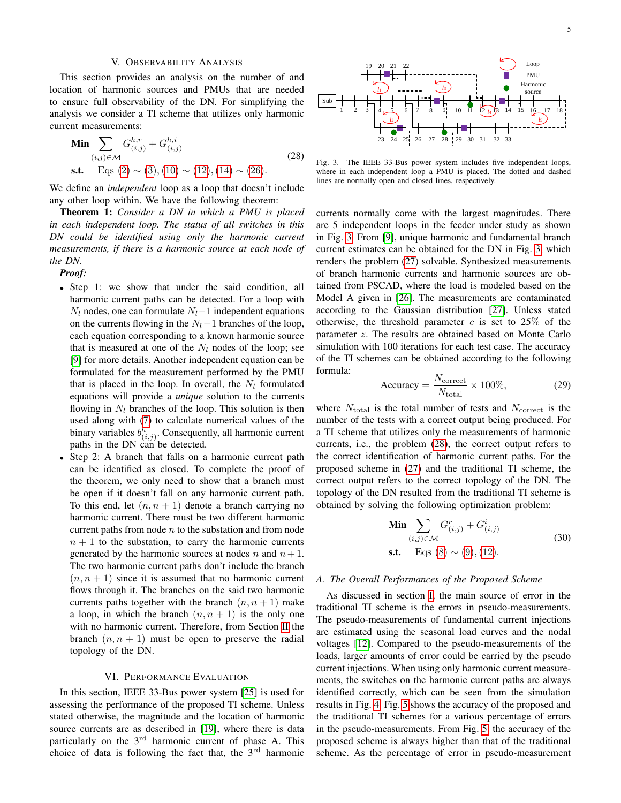#### V. OBSERVABILITY ANALYSIS

This section provides an analysis on the number of and location of harmonic sources and PMUs that are needed to ensure full observability of the DN. For simplifying the analysis we consider a TI scheme that utilizes only harmonic current measurements:

<span id="page-4-1"></span>
$$
\begin{aligned}\n\mathbf{Min} \sum_{(i,j)\in\mathcal{M}} G_{(i,j)}^{h,r} + G_{(i,j)}^{h,i} \\
\mathbf{s.t.} \quad \text{Eqs (2)} \sim (3), (10) \sim (12), (14) \sim (26).\n\end{aligned} \tag{28}
$$

We define an *independent* loop as a loop that doesn't include any other loop within. We have the following theorem:

Theorem 1: *Consider a DN in which a PMU is placed in each independent loop. The status of all switches in this DN could be identified using only the harmonic current measurements, if there is a harmonic source at each node of the DN.*

*Proof:*

- Step 1: we show that under the said condition, all harmonic current paths can be detected. For a loop with  $N_l$  nodes, one can formulate  $N_l-1$  independent equations on the currents flowing in the  $N_l-1$  branches of the loop, each equation corresponding to a known harmonic source that is measured at one of the  $N_l$  nodes of the loop; see [\[9\]](#page-7-5) for more details. Another independent equation can be formulated for the measurement performed by the PMU that is placed in the loop. In overall, the  $N_l$  formulated equations will provide a *unique* solution to the currents flowing in  $N_l$  branches of the loop. This solution is then used along with [\(7\)](#page-2-0) to calculate numerical values of the binary variables  $b_{(i,j)}^h$ . Consequently, all harmonic current paths in the DN can be detected.
- Step 2: A branch that falls on a harmonic current path can be identified as closed. To complete the proof of the theorem, we only need to show that a branch must be open if it doesn't fall on any harmonic current path. To this end, let  $(n, n + 1)$  denote a branch carrying no harmonic current. There must be two different harmonic current paths from node  $n$  to the substation and from node  $n + 1$  to the substation, to carry the harmonic currents generated by the harmonic sources at nodes n and  $n+1$ . The two harmonic current paths don't include the branch  $(n, n + 1)$  since it is assumed that no harmonic current flows through it. The branches on the said two harmonic currents paths together with the branch  $(n, n + 1)$  make a loop, in which the branch  $(n, n + 1)$  is the only one with no harmonic current. Therefore, from Section [II](#page-1-3) the branch  $(n, n + 1)$  must be open to preserve the radial topology of the DN.

#### VI. PERFORMANCE EVALUATION

In this section, IEEE 33-Bus power system [\[25\]](#page-7-19) is used for assessing the performance of the proposed TI scheme. Unless stated otherwise, the magnitude and the location of harmonic source currents are as described in [\[19\]](#page-7-13), where there is data particularly on the  $3<sup>rd</sup>$  harmonic current of phase A. This choice of data is following the fact that, the  $3<sup>rd</sup>$  harmonic



<span id="page-4-0"></span>Fig. 3. The IEEE 33-Bus power system includes five independent loops, where in each independent loop a PMU is placed. The dotted and dashed lines are normally open and closed lines, respectively.

currents normally come with the largest magnitudes. There are 5 independent loops in the feeder under study as shown in Fig. [3.](#page-4-0) From [\[9\]](#page-7-5), unique harmonic and fundamental branch current estimates can be obtained for the DN in Fig. [3,](#page-4-0) which renders the problem [\(27\)](#page-3-5) solvable. Synthesized measurements of branch harmonic currents and harmonic sources are obtained from PSCAD, where the load is modeled based on the Model A given in [\[26\]](#page-7-20). The measurements are contaminated according to the Gaussian distribution [\[27\]](#page-7-21). Unless stated otherwise, the threshold parameter  $c$  is set to 25% of the parameter z. The results are obtained based on Monte Carlo simulation with 100 iterations for each test case. The accuracy of the TI schemes can be obtained according to the following formula:

$$
Accuracy = \frac{N_{\text{correct}}}{N_{\text{total}}} \times 100\%,\tag{29}
$$

where  $N_{\text{total}}$  is the total number of tests and  $N_{\text{correct}}$  is the number of the tests with a correct output being produced. For a TI scheme that utilizes only the measurements of harmonic currents, i.e., the problem [\(28\)](#page-4-1), the correct output refers to the correct identification of harmonic current paths. For the proposed scheme in [\(27\)](#page-3-5) and the traditional TI scheme, the correct output refers to the correct topology of the DN. The topology of the DN resulted from the traditional TI scheme is obtained by solving the following optimization problem:

$$
\begin{aligned} \n\text{Min} \sum_{(i,j)\in \mathcal{M}} G^r_{(i,j)} + G^i_{(i,j)}\\ \n\text{s.t.} \quad \text{Eqs (8)} &\sim (9), (12). \n\end{aligned} \tag{30}
$$

#### *A. The Overall Performances of the Proposed Scheme*

As discussed in section [I,](#page-0-0) the main source of error in the traditional TI scheme is the errors in pseudo-measurements. The pseudo-measurements of fundamental current injections are estimated using the seasonal load curves and the nodal voltages [\[12\]](#page-7-7). Compared to the pseudo-measurements of the loads, larger amounts of error could be carried by the pseudo current injections. When using only harmonic current measurements, the switches on the harmonic current paths are always identified correctly, which can be seen from the simulation results in Fig. [4.](#page-5-0) Fig. [5](#page-5-1) shows the accuracy of the proposed and the traditional TI schemes for a various percentage of errors in the pseudo-measurements. From Fig. [5,](#page-5-1) the accuracy of the proposed scheme is always higher than that of the traditional scheme. As the percentage of error in pseudo-measurement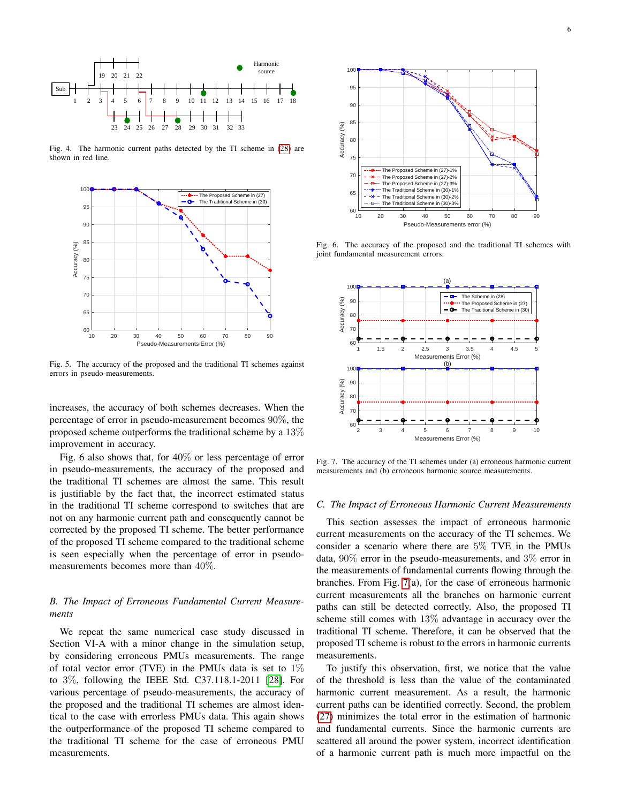

<span id="page-5-0"></span>Fig. 4. The harmonic current paths detected by the TI scheme in [\(28\)](#page-4-1) are shown in red line.



<span id="page-5-1"></span>Fig. 5. The accuracy of the proposed and the traditional TI schemes against errors in pseudo-measurements.

increases, the accuracy of both schemes decreases. When the percentage of error in pseudo-measurement becomes 90%, the proposed scheme outperforms the traditional scheme by a 13% improvement in accuracy.

Fig. 6 also shows that, for 40% or less percentage of error in pseudo-measurements, the accuracy of the proposed and the traditional TI schemes are almost the same. This result is justifiable by the fact that, the incorrect estimated status in the traditional TI scheme correspond to switches that are not on any harmonic current path and consequently cannot be corrected by the proposed TI scheme. The better performance of the proposed TI scheme compared to the traditional scheme is seen especially when the percentage of error in pseudomeasurements becomes more than 40%.

# *B. The Impact of Erroneous Fundamental Current Measurements*

We repeat the same numerical case study discussed in Section VI-A with a minor change in the simulation setup, by considering erroneous PMUs measurements. The range of total vector error (TVE) in the PMUs data is set to  $1\%$ to 3%, following the IEEE Std. C37.118.1-2011 [\[28\]](#page-7-22). For various percentage of pseudo-measurements, the accuracy of the proposed and the traditional TI schemes are almost identical to the case with errorless PMUs data. This again shows the outperformance of the proposed TI scheme compared to the traditional TI scheme for the case of erroneous PMU measurements.



Fig. 6. The accuracy of the proposed and the traditional TI schemes with joint fundamental measurement errors.



<span id="page-5-2"></span>Fig. 7. The accuracy of the TI schemes under (a) erroneous harmonic current measurements and (b) erroneous harmonic source measurements.

#### <span id="page-5-3"></span>*C. The Impact of Erroneous Harmonic Current Measurements*

This section assesses the impact of erroneous harmonic current measurements on the accuracy of the TI schemes. We consider a scenario where there are 5% TVE in the PMUs data, 90% error in the pseudo-measurements, and 3% error in the measurements of fundamental currents flowing through the branches. From Fig. [7\(](#page-5-2)a), for the case of erroneous harmonic current measurements all the branches on harmonic current paths can still be detected correctly. Also, the proposed TI scheme still comes with 13% advantage in accuracy over the traditional TI scheme. Therefore, it can be observed that the proposed TI scheme is robust to the errors in harmonic currents measurements.

To justify this observation, first, we notice that the value of the threshold is less than the value of the contaminated harmonic current measurement. As a result, the harmonic current paths can be identified correctly. Second, the problem [\(27\)](#page-3-5) minimizes the total error in the estimation of harmonic and fundamental currents. Since the harmonic currents are scattered all around the power system, incorrect identification of a harmonic current path is much more impactful on the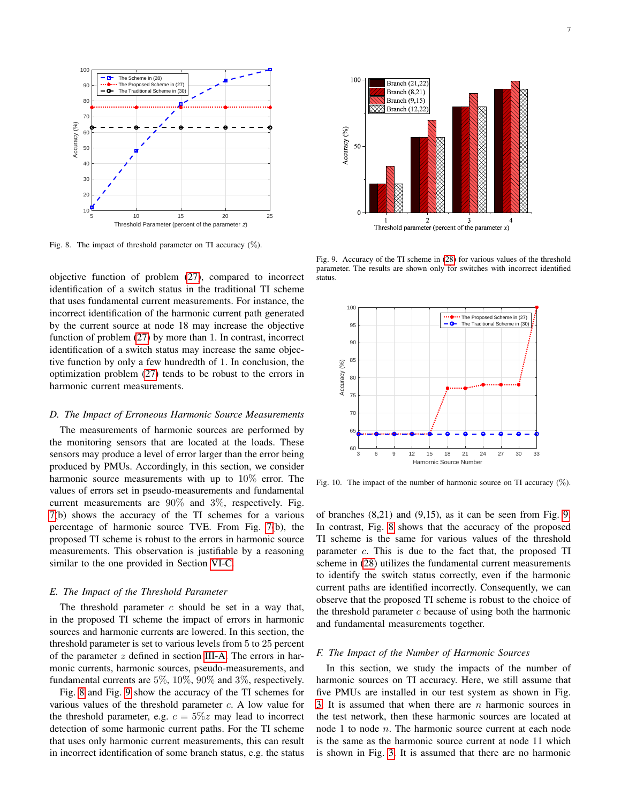

<span id="page-6-0"></span>Fig. 8. The impact of threshold parameter on TI accuracy  $(\%)$ .

objective function of problem [\(27\)](#page-3-5), compared to incorrect identification of a switch status in the traditional TI scheme that uses fundamental current measurements. For instance, the incorrect identification of the harmonic current path generated by the current source at node 18 may increase the objective function of problem [\(27\)](#page-3-5) by more than 1. In contrast, incorrect identification of a switch status may increase the same objective function by only a few hundredth of 1. In conclusion, the optimization problem [\(27\)](#page-3-5) tends to be robust to the errors in harmonic current measurements.

#### *D. The Impact of Erroneous Harmonic Source Measurements*

The measurements of harmonic sources are performed by the monitoring sensors that are located at the loads. These sensors may produce a level of error larger than the error being produced by PMUs. Accordingly, in this section, we consider harmonic source measurements with up to 10% error. The values of errors set in pseudo-measurements and fundamental current measurements are 90% and 3%, respectively. Fig. [7\(](#page-5-2)b) shows the accuracy of the TI schemes for a various percentage of harmonic source TVE. From Fig. [7\(](#page-5-2)b), the proposed TI scheme is robust to the errors in harmonic source measurements. This observation is justifiable by a reasoning similar to the one provided in Section [VI-C.](#page-5-3)

#### *E. The Impact of the Threshold Parameter*

The threshold parameter  $c$  should be set in a way that, in the proposed TI scheme the impact of errors in harmonic sources and harmonic currents are lowered. In this section, the threshold parameter is set to various levels from 5 to 25 percent of the parameter z defined in section [III-A.](#page-1-5) The errors in harmonic currents, harmonic sources, pseudo-measurements, and fundamental currents are 5%, 10%, 90% and 3%, respectively.

Fig. [8](#page-6-0) and Fig. [9](#page-6-1) show the accuracy of the TI schemes for various values of the threshold parameter c. A low value for the threshold parameter, e.g.  $c = 5\%z$  may lead to incorrect detection of some harmonic current paths. For the TI scheme that uses only harmonic current measurements, this can result in incorrect identification of some branch status, e.g. the status



<span id="page-6-1"></span>Fig. 9. Accuracy of the TI scheme in [\(28\)](#page-4-1) for various values of the threshold parameter. The results are shown only for switches with incorrect identified status.



<span id="page-6-2"></span>Fig. 10. The impact of the number of harmonic source on TI accuracy  $(\%)$ .

of branches (8,21) and (9,15), as it can be seen from Fig. [9.](#page-6-1) In contrast, Fig. [8](#page-6-0) shows that the accuracy of the proposed TI scheme is the same for various values of the threshold parameter  $c$ . This is due to the fact that, the proposed TI scheme in [\(28\)](#page-4-1) utilizes the fundamental current measurements to identify the switch status correctly, even if the harmonic current paths are identified incorrectly. Consequently, we can observe that the proposed TI scheme is robust to the choice of the threshold parameter  $c$  because of using both the harmonic and fundamental measurements together.

#### *F. The Impact of the Number of Harmonic Sources*

In this section, we study the impacts of the number of harmonic sources on TI accuracy. Here, we still assume that five PMUs are installed in our test system as shown in Fig. [3.](#page-4-0) It is assumed that when there are  $n$  harmonic sources in the test network, then these harmonic sources are located at node 1 to node n. The harmonic source current at each node is the same as the harmonic source current at node 11 which is shown in Fig. [3.](#page-4-0) It is assumed that there are no harmonic